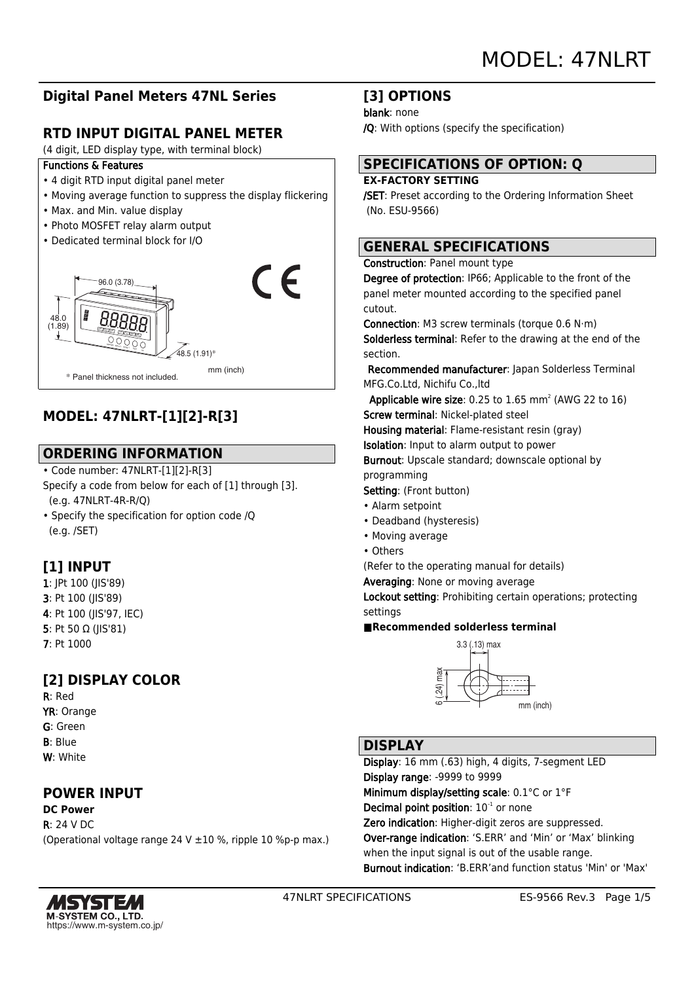# **Digital Panel Meters 47NL Series**

# **RTD INPUT DIGITAL PANEL METER**

(4 digit, LED display type, with terminal block)

## Functions & Features

- 4 digit RTD input digital panel meter
- Moving average function to suppress the display flickering
- Max. and Min. value display
- Photo MOSFET relay alarm output
- Dedicated terminal block for I/O



# **MODEL: 47NLRT-[1][2]-R[3]**

# **ORDERING INFORMATION**

- Code number: 47NLRT-[1][2]-R[3] Specify a code from below for each of [1] through [3]. (e.g. 47NLRT-4R-R/Q)
- Specify the specification for option code /Q (e.g. /SET)

# **[1] INPUT**

- 1: JPt 100 (JIS'89) 3: Pt 100 (JIS'89) 4: Pt 100 (JIS'97, IEC) 5: Pt 50 Ω (JIS'81) 7: Pt 1000
- 

# **[2] DISPLAY COLOR**

R: Red YR: Orange G: Green B: Blue W: White

# **POWER INPUT**

## **DC Power** R: 24 V DC (Operational voltage range 24 V ±10 %, ripple 10 %p-p max.)

## **[3] OPTIONS**

### blank: none

/Q: With options (specify the specification)

# **SPECIFICATIONS OF OPTION: Q**

## **EX-FACTORY SETTING**

/SET: Preset according to the Ordering Information Sheet (No. ESU-9566)

# **GENERAL SPECIFICATIONS**

### Construction: Panel mount type

Degree of protection: IP66; Applicable to the front of the panel meter mounted according to the specified panel cutout.

Connection: M3 screw terminals (torque 0.6 N·m) Solderless terminal: Refer to the drawing at the end of the section.

 Recommended manufacturer: Japan Solderless Terminal MFG.Co.Ltd, Nichifu Co.,ltd

**Applicable wire size:** 0.25 to  $1.65$  mm<sup>2</sup> (AWG 22 to  $16$ ) Screw terminal: Nickel-plated steel

Housing material: Flame-resistant resin (gray)

Isolation: Input to alarm output to power

Burnout: Upscale standard; downscale optional by programming

Setting: (Front button)

- Alarm setpoint
- Deadband (hysteresis)
- Moving average
- Others

(Refer to the operating manual for details)

Averaging: None or moving average

Lockout setting: Prohibiting certain operations; protecting settings

## **■Recommended solderless terminal**



# **DISPLAY**

Display: 16 mm (.63) high, 4 digits, 7-segment LED Display range: -9999 to 9999 Minimum display/setting scale: 0.1°C or 1°F Decimal point position:  $10^{-1}$  or none Zero indication: Higher-digit zeros are suppressed. Over-range indication: 'S.ERR' and 'Min' or 'Max' blinking when the input signal is out of the usable range. Burnout indication: 'B.ERR'and function status 'Min' or 'Max'

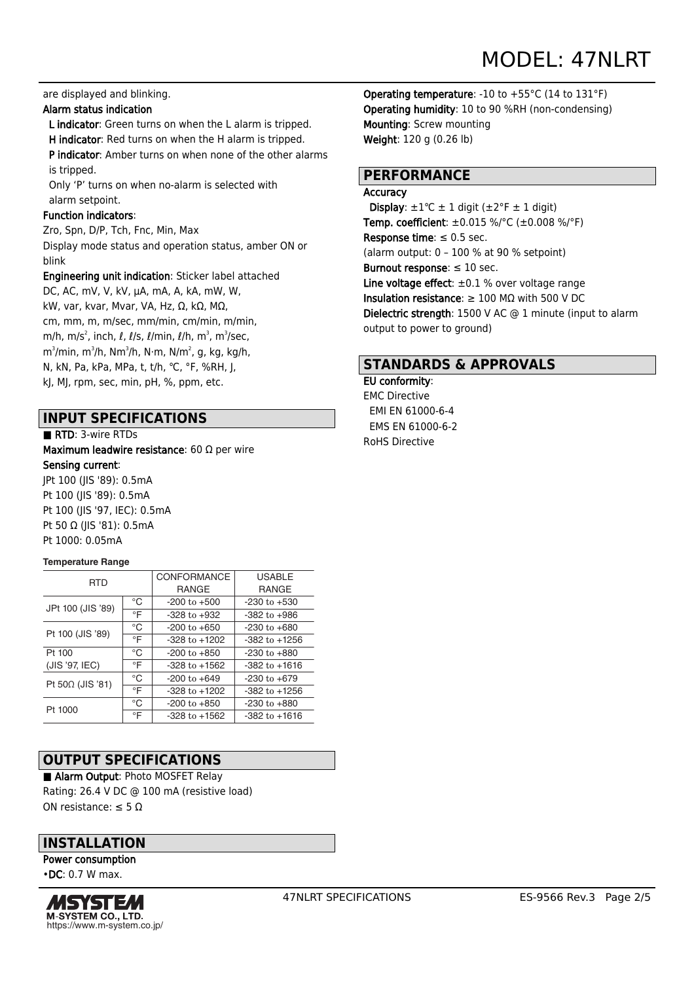### are displayed and blinking.

## Alarm status indication

 L indicator: Green turns on when the L alarm is tripped. H indicator: Red turns on when the H alarm is tripped.

P indicator: Amber turns on when none of the other alarms is tripped.

 Only 'P' turns on when no-alarm is selected with alarm setpoint.

#### Function indicators:

Zro, Spn, D/P, Tch, Fnc, Min, Max Display mode status and operation status, amber ON or blink

Engineering unit indication: Sticker label attached

DC, AC, mV, V, kV, μA, mA, A, kA, mW, W, kW, var, kvar, Mvar, VA, Hz, Ω, kΩ, MΩ, cm, mm, m, m/sec, mm/min, cm/min, m/min, m/h, m/s $^2$ , inch,  $\ell$ ,  $\ell$ /s,  $\ell$ /min,  $\ell$ /h, m $^3$ , m $^3$ /sec, m $^3$ /min, m $^3$ /h, N $\cdot$ m, N $^2$ , N, kg, kg/h, m $^2$ , y, kg/h, m N, kN, Pa, kPa, MPa, t, t/h, ℃, °F, %RH, J, kJ, MJ, rpm, sec, min, pH, %, ppm, etc.

## **INPUT SPECIFICATIONS**

#### ■ RTD: 3-wire RTDs

Maximum leadwire resistance: 60 Ω per wire Sensing current: JPt 100 (JIS '89): 0.5mA Pt 100 (JIS '89): 0.5mA Pt 100 (JIS '97, IEC): 0.5mA Pt 50 Ω (JIS '81): 0.5mA

#### Pt 1000: 0.05mA

#### **Temperature Range**

| <b>RTD</b>        |           | <b>CONFORMANCE</b> | <b>USABLE</b>     |  |
|-------------------|-----------|--------------------|-------------------|--|
|                   |           | <b>RANGE</b>       | <b>RANGE</b>      |  |
| JPt 100 (JIS '89) | °C        | $-200$ to $+500$   | $-230$ to $+530$  |  |
|                   | $\circ$ F | $-328$ to $+932$   | $-382$ to $+986$  |  |
| Pt 100 (JIS '89)  | °C        | $-200$ to $+650$   | $-230$ to $+680$  |  |
|                   | $\circ$ F | $-328$ to $+1202$  | $-382$ to $+1256$ |  |
| Pt 100            | °C        | $-200$ to $+850$   | $-230$ to $+880$  |  |
| (JIS '97, IEC)    | $\circ$ F | $-328$ to $+1562$  | $-382$ to $+1616$ |  |
| Pt 50Ω (JIS '81)  | °C        | $-200$ to $+649$   | $-230$ to $+679$  |  |
|                   | $\circ$ F | $-328$ to $+1202$  | $-382$ to $+1256$ |  |
| Pt 1000           | °C        | $-200$ to $+850$   | $-230$ to $+880$  |  |
|                   | °F        | $-328$ to $+1562$  | $-382$ to $+1616$ |  |

# **OUTPUT SPECIFICATIONS**

■ Alarm Output: Photo MOSFET Relay Rating: 26.4 V DC @ 100 mA (resistive load) ON resistance: ≤ 5 Ω

## **INSTALLATION**

Power consumption •DC: 0.7 W max.



Operating temperature: -10 to +55°C (14 to 131°F) Operating humidity: 10 to 90 %RH (non-condensing) Mounting: Screw mounting Weight: 120 g (0.26 lb)

## **PERFORMANCE**

#### Accuracy

Display:  $\pm 1$ °C  $\pm$  1 digit ( $\pm 2$ °F  $\pm$  1 digit) Temp. coefficient: ±0.015 %/°C (±0.008 %/°F) Response time:  $\leq 0.5$  sec. (alarm output: 0 – 100 % at 90 % setpoint) Burnout response:  $\leq 10$  sec. Line voltage effect:  $\pm 0.1$  % over voltage range Insulation resistance:  $\geq 100$  M $\Omega$  with 500 V DC Dielectric strength: 1500 V AC @ 1 minute (input to alarm output to power to ground)

## **STANDARDS & APPROVALS**

## EU conformity:

EMC Directive EMI EN 61000-6-4 EMS EN 61000-6-2 RoHS Directive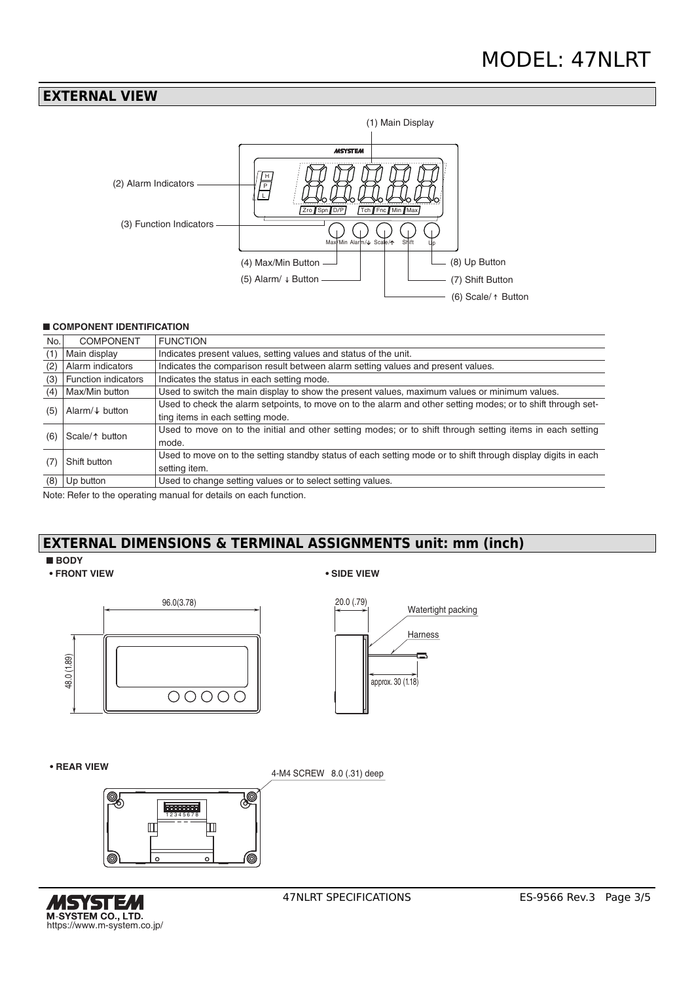## **EXTERNAL VIEW**



## ■ **COMPONENT IDENTIFICATION**

| No.                               | <b>COMPONENT</b>                                                                                          | <b>FUNCTION</b>                                                                                               |  |  |
|-----------------------------------|-----------------------------------------------------------------------------------------------------------|---------------------------------------------------------------------------------------------------------------|--|--|
| (1)                               | Main display                                                                                              | Indicates present values, setting values and status of the unit.                                              |  |  |
| (2)                               | Alarm indicators                                                                                          | Indicates the comparison result between alarm setting values and present values.                              |  |  |
| (3)                               | <b>Function indicators</b>                                                                                | Indicates the status in each setting mode.                                                                    |  |  |
| (4)                               | Max/Min button                                                                                            | Used to switch the main display to show the present values, maximum values or minimum values.                 |  |  |
| Alarm/ $\downarrow$ button<br>(5) |                                                                                                           | Used to check the alarm setpoints, to move on to the alarm and other setting modes; or to shift through set-  |  |  |
|                                   |                                                                                                           | ting items in each setting mode.                                                                              |  |  |
| Scale/ $\uparrow$ button<br>(6)   | Used to move on to the initial and other setting modes; or to shift through setting items in each setting |                                                                                                               |  |  |
|                                   | mode.                                                                                                     |                                                                                                               |  |  |
| Shift button<br>(7                |                                                                                                           | Used to move on to the setting standby status of each setting mode or to shift through display digits in each |  |  |
|                                   |                                                                                                           | setting item.                                                                                                 |  |  |
| (8)                               | Up button                                                                                                 | Used to change setting values or to select setting values.                                                    |  |  |

Note: Refer to the operating manual for details on each function.

# **EXTERNAL DIMENSIONS & TERMINAL ASSIGNMENTS unit: mm (inch)**

### ■ **BODY**

**• FRONT VIEW • SIDE VIEW**





#### **• REAR VIEW**





4-M4 SCREW 8.0 (.31) deep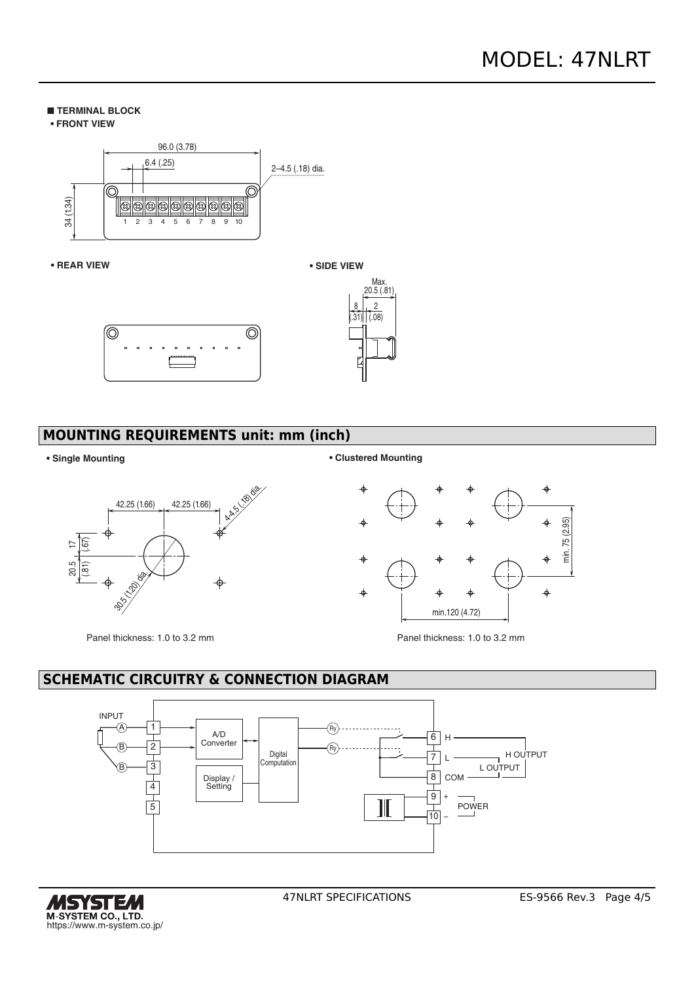### ■ **TERMINAL BLOCK**





#### **• REAR VIEW**





# **MOUNTING REQUIREMENTS unit: mm (inch)**



**• Single Mounting • Clustered Mounting**



Panel thickness: 1.0 to 3.2 mm Panel thickness: 1.0 to 3.2 mm

# **SCHEMATIC CIRCUITRY & CONNECTION DIAGRAM**